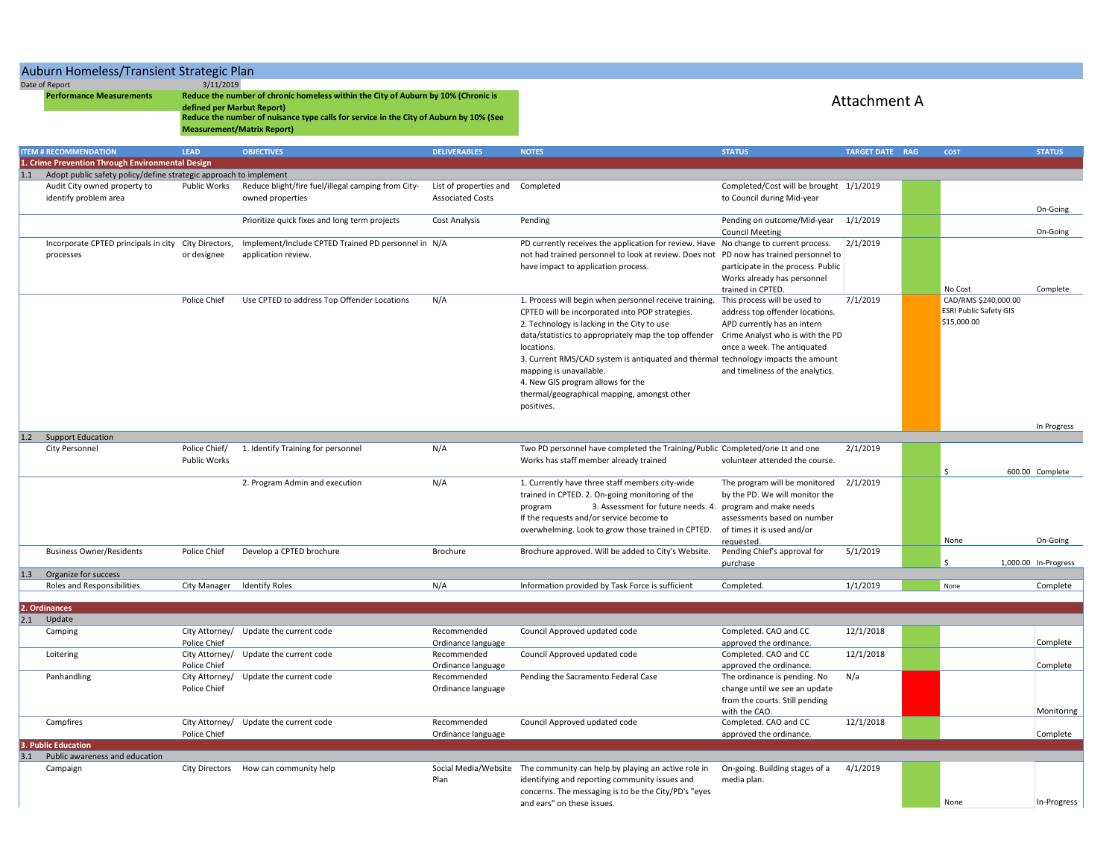## Auburn Homeless/Transient Strategic Plan

Date of Report 3/11/2019

**Performance Measurements** 

**Reduce the number of chronic homeless within the City of Auburn by 10% (Chronic is defined per Marbut Report) Reduce the number of nuisance type calls for service in the City of Auburn by 10% (See Measurement/Matrix Report)**

## Attachment A

|     | <b>ITEM # RECOMMENDATION</b>                                      | <b>LEAD</b>         | <b>OBJECTIVES</b>                                   | <b>DELIVERABLES</b>              | <b>NOTES</b>                                                                           | <b>STATUS</b>                           | <b>TARGET DATE RAG</b> | <b>COST</b>                   | <b>STATUS</b>        |
|-----|-------------------------------------------------------------------|---------------------|-----------------------------------------------------|----------------------------------|----------------------------------------------------------------------------------------|-----------------------------------------|------------------------|-------------------------------|----------------------|
|     | 1. Crime Prevention Through Environmental Design                  |                     |                                                     |                                  |                                                                                        |                                         |                        |                               |                      |
| 1.1 | Adopt public safety policy/define strategic approach to implement |                     |                                                     |                                  |                                                                                        |                                         |                        |                               |                      |
|     | Audit City owned property to                                      | Public Works        | Reduce blight/fire fuel/illegal camping from City-  | List of properties and Completed |                                                                                        | Completed/Cost will be brought 1/1/2019 |                        |                               |                      |
|     | identify problem area                                             |                     | owned properties                                    | <b>Associated Costs</b>          |                                                                                        | to Council during Mid-year              |                        |                               |                      |
|     |                                                                   |                     |                                                     |                                  |                                                                                        |                                         |                        |                               | On-Going             |
|     |                                                                   |                     | Prioritize quick fixes and long term projects       | <b>Cost Analysis</b>             | Pending                                                                                | Pending on outcome/Mid-year             | 1/1/2019               |                               |                      |
|     |                                                                   |                     |                                                     |                                  |                                                                                        | <b>Council Meeting</b>                  |                        |                               | On-Going             |
|     | Incorporate CPTED principals in city City Directors,              |                     | Implement/Include CPTED Trained PD personnel in N/A |                                  | PD currently receives the application for review. Have No change to current process.   |                                         | 2/1/2019               |                               |                      |
|     | processes                                                         | or designee         | application review.                                 |                                  | not had trained personnel to look at review. Does not PD now has trained personnel to  |                                         |                        |                               |                      |
|     |                                                                   |                     |                                                     |                                  |                                                                                        |                                         |                        |                               |                      |
|     |                                                                   |                     |                                                     |                                  | have impact to application process.                                                    | participate in the process. Public      |                        |                               |                      |
|     |                                                                   |                     |                                                     |                                  |                                                                                        | Works already has personnel             |                        |                               |                      |
|     |                                                                   |                     |                                                     |                                  |                                                                                        | trained in CPTED.                       |                        | No Cost                       | Complete             |
|     |                                                                   | Police Chief        | Use CPTED to address Top Offender Locations         | N/A                              | 1. Process will begin when personnel receive training.                                 | This process will be used to            | 7/1/2019               | CAD/RMS \$240,000.00          |                      |
|     |                                                                   |                     |                                                     |                                  | CPTED will be incorporated into POP strategies.                                        | address top offender locations.         |                        | <b>ESRI Public Safety GIS</b> |                      |
|     |                                                                   |                     |                                                     |                                  | 2. Technology is lacking in the City to use                                            | APD currently has an intern             |                        | \$15,000.00                   |                      |
|     |                                                                   |                     |                                                     |                                  | data/statistics to appropriately map the top offender Crime Analyst who is with the PD |                                         |                        |                               |                      |
|     |                                                                   |                     |                                                     |                                  | locations.                                                                             | once a week. The antiquated             |                        |                               |                      |
|     |                                                                   |                     |                                                     |                                  | 3. Current RMS/CAD system is antiquated and thermal technology impacts the amount      |                                         |                        |                               |                      |
|     |                                                                   |                     |                                                     |                                  | mapping is unavailable.                                                                | and timeliness of the analytics.        |                        |                               |                      |
|     |                                                                   |                     |                                                     |                                  |                                                                                        |                                         |                        |                               |                      |
|     |                                                                   |                     |                                                     |                                  | 4. New GIS program allows for the                                                      |                                         |                        |                               |                      |
|     |                                                                   |                     |                                                     |                                  | thermal/geographical mapping, amongst other                                            |                                         |                        |                               |                      |
|     |                                                                   |                     |                                                     |                                  | positives.                                                                             |                                         |                        |                               |                      |
|     |                                                                   |                     |                                                     |                                  |                                                                                        |                                         |                        |                               |                      |
|     |                                                                   |                     |                                                     |                                  |                                                                                        |                                         |                        |                               | In Progress          |
| 1.2 | <b>Support Education</b>                                          |                     |                                                     |                                  |                                                                                        |                                         |                        |                               |                      |
|     | <b>City Personnel</b>                                             | Police Chief/       | 1. Identify Training for personnel                  | N/A                              | Two PD personnel have completed the Training/Public Completed/one Lt and one           |                                         | 2/1/2019               |                               |                      |
|     |                                                                   | <b>Public Works</b> |                                                     |                                  | Works has staff member already trained                                                 | volunteer attended the course.          |                        |                               |                      |
|     |                                                                   |                     |                                                     |                                  |                                                                                        |                                         |                        | $\mathsf{S}$                  | 600.00 Complete      |
|     |                                                                   |                     | 2. Program Admin and execution                      | N/A                              | 1. Currently have three staff members city-wide                                        | The program will be monitored           | 2/1/2019               |                               |                      |
|     |                                                                   |                     |                                                     |                                  | trained in CPTED. 2. On-going monitoring of the                                        | by the PD. We will monitor the          |                        |                               |                      |
|     |                                                                   |                     |                                                     |                                  | program<br>3. Assessment for future needs. 4. program and make needs                   |                                         |                        |                               |                      |
|     |                                                                   |                     |                                                     |                                  | If the requests and/or service become to                                               | assessments based on number             |                        |                               |                      |
|     |                                                                   |                     |                                                     |                                  |                                                                                        | of times it is used and/or              |                        |                               |                      |
|     |                                                                   |                     |                                                     |                                  | overwhelming. Look to grow those trained in CPTED.                                     |                                         |                        | None                          |                      |
|     |                                                                   |                     |                                                     |                                  |                                                                                        | requested.                              |                        |                               | On-Going             |
|     | <b>Business Owner/Residents</b>                                   | Police Chief        | Develop a CPTED brochure                            | Brochure                         | Brochure approved. Will be added to City's Website.                                    | Pending Chief's approval for            | 5/1/2019               |                               |                      |
|     |                                                                   |                     |                                                     |                                  |                                                                                        | purchase                                |                        | \$.                           | 1,000.00 In-Progress |
| 1.3 | Organize for success                                              |                     |                                                     |                                  |                                                                                        |                                         |                        |                               |                      |
|     | Roles and Responsibilities                                        |                     | City Manager Identify Roles                         | N/A                              | Information provided by Task Force is sufficient                                       | Completed.                              | 1/1/2019               | None                          | Complete             |
|     |                                                                   |                     |                                                     |                                  |                                                                                        |                                         |                        |                               |                      |
|     | 2. Ordinances                                                     |                     |                                                     |                                  |                                                                                        |                                         |                        |                               |                      |
| 2.1 | Update                                                            |                     |                                                     |                                  |                                                                                        |                                         |                        |                               |                      |
|     | Camping                                                           | City Attorney/      | Update the current code                             | Recommended                      | Council Approved updated code                                                          | Completed. CAO and CC                   | 12/1/2018              |                               |                      |
|     |                                                                   | Police Chief        |                                                     | Ordinance language               |                                                                                        | approved the ordinance.                 |                        |                               | Complete             |
|     | Loitering                                                         | City Attorney/      | Update the current code                             | Recommended                      | Council Approved updated code                                                          | Completed. CAO and CC                   | 12/1/2018              |                               |                      |
|     |                                                                   | Police Chief        |                                                     | Ordinance language               |                                                                                        | approved the ordinance.                 |                        |                               | Complete             |
|     | Panhandling                                                       | City Attorney/      | Update the current code                             | Recommended                      | Pending the Sacramento Federal Case                                                    | The ordinance is pending. No            | N/a                    |                               |                      |
|     |                                                                   | Police Chief        |                                                     | Ordinance language               |                                                                                        | change until we see an update           |                        |                               |                      |
|     |                                                                   |                     |                                                     |                                  |                                                                                        | from the courts. Still pending          |                        |                               |                      |
|     |                                                                   |                     |                                                     |                                  |                                                                                        | with the CAO.                           |                        |                               | Monitoring           |
|     |                                                                   |                     |                                                     | Recommended                      |                                                                                        |                                         | 12/1/2018              |                               |                      |
|     | Campfires                                                         | City Attorney/      | Update the current code                             |                                  | Council Approved updated code                                                          | Completed. CAO and CC                   |                        |                               |                      |
|     |                                                                   | Police Chief        |                                                     | Ordinance language               |                                                                                        | approved the ordinance.                 |                        |                               | Complete             |
|     | 3. Public Education                                               |                     |                                                     |                                  |                                                                                        |                                         |                        |                               |                      |
| 3.1 | Public awareness and education                                    |                     |                                                     |                                  |                                                                                        |                                         |                        |                               |                      |
|     | Campaign                                                          |                     | City Directors How can community help               |                                  | Social Media/Website The community can help by playing an active role in               | On-going. Building stages of a          | 4/1/2019               |                               |                      |
|     |                                                                   |                     |                                                     | Plan                             | identifying and reporting community issues and                                         | media plan.                             |                        |                               |                      |
|     |                                                                   |                     |                                                     |                                  | concerns. The messaging is to be the City/PD's "eyes                                   |                                         |                        |                               |                      |
|     |                                                                   |                     |                                                     |                                  | and ears" on these issues.                                                             |                                         |                        | None                          | In-Progress          |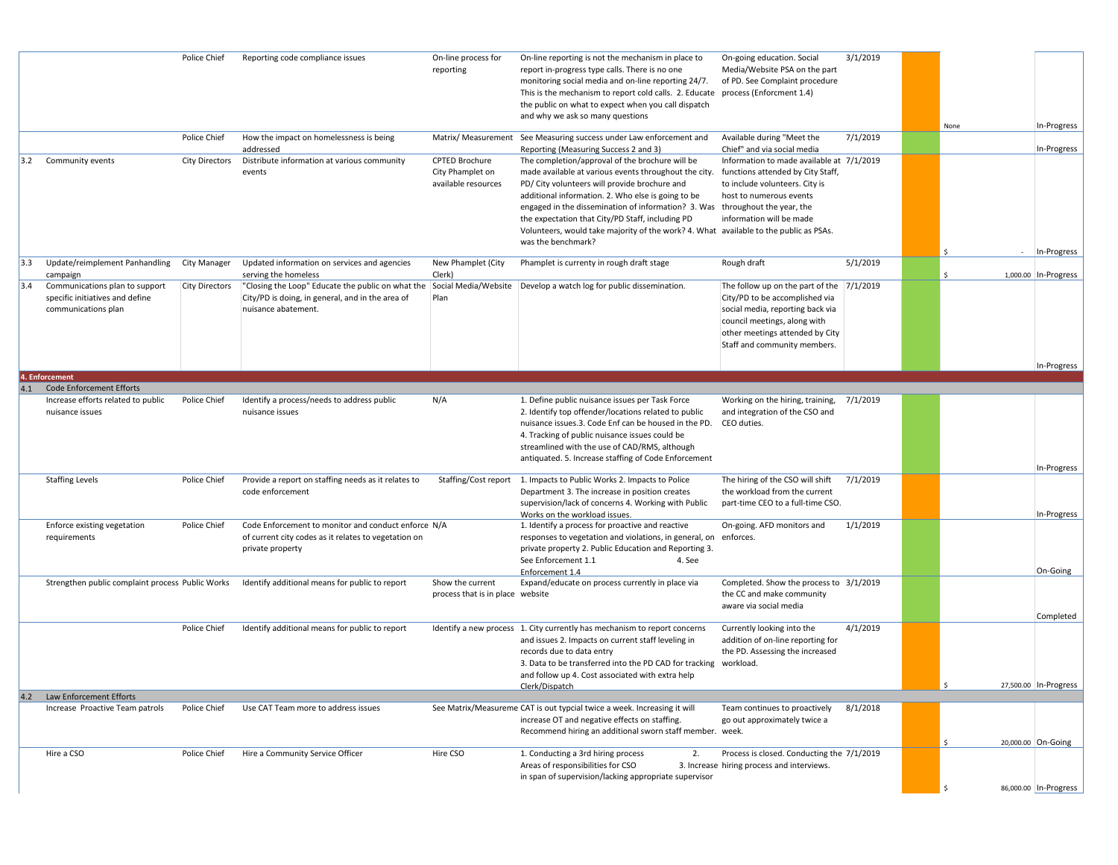|     |                                                                                                      | Police Chief          | Reporting code compliance issues                                                                                                                                                                                        | On-line process for<br>reporting                          | On-line reporting is not the mechanism in place to<br>report in-progress type calls. There is no one<br>monitoring social media and on-line reporting 24/7.<br>This is the mechanism to report cold calls. 2. Educate<br>the public on what to expect when you call dispatch<br>and why we ask so many questions                                                                                                                                                                                            | On-going education. Social<br>Media/Website PSA on the part<br>of PD. See Complaint procedure<br>process (Enforcment 1.4)                                                                                            | 3/1/2019 | None | In-Progress                         |
|-----|------------------------------------------------------------------------------------------------------|-----------------------|-------------------------------------------------------------------------------------------------------------------------------------------------------------------------------------------------------------------------|-----------------------------------------------------------|-------------------------------------------------------------------------------------------------------------------------------------------------------------------------------------------------------------------------------------------------------------------------------------------------------------------------------------------------------------------------------------------------------------------------------------------------------------------------------------------------------------|----------------------------------------------------------------------------------------------------------------------------------------------------------------------------------------------------------------------|----------|------|-------------------------------------|
|     |                                                                                                      | Police Chief          | How the impact on homelessness is being                                                                                                                                                                                 |                                                           | Matrix/ Measurement See Measuring success under Law enforcement and                                                                                                                                                                                                                                                                                                                                                                                                                                         | Available during "Meet the                                                                                                                                                                                           | 7/1/2019 |      |                                     |
| 3.2 | Community events                                                                                     | <b>City Directors</b> | addressed<br>Distribute information at various community<br>events                                                                                                                                                      | CPTED Brochure<br>City Phamplet on<br>available resources | Reporting (Measuring Success 2 and 3)<br>The completion/approval of the brochure will be<br>made available at various events throughout the city.<br>PD/ City volunteers will provide brochure and<br>additional information. 2. Who else is going to be<br>engaged in the dissemination of information? 3. Was throughout the year, the<br>the expectation that City/PD Staff, including PD<br>Volunteers, would take majority of the work? 4. What available to the public as PSAs.<br>was the benchmark? | Chief" and via social media<br>Information to made available at 7/1/2019<br>functions attended by City Staff,<br>to include volunteers. City is<br>host to numerous events<br>information will be made               |          |      | In-Progress<br>In-Progress          |
| 3.3 | Update/reimplement Panhandling                                                                       | City Manager          | Updated information on services and agencies                                                                                                                                                                            | New Phamplet (City                                        | Phamplet is currenty in rough draft stage                                                                                                                                                                                                                                                                                                                                                                                                                                                                   | Rough draft                                                                                                                                                                                                          | 5/1/2019 |      |                                     |
| 3.4 | campaign<br>Communications plan to support<br>specific initiatives and define<br>communications plan | <b>City Directors</b> | serving the homeless<br>"Closing the Loop" Educate the public on what the Social Media/Website Develop a watch log for public dissemination.<br>City/PD is doing, in general, and in the area of<br>nuisance abatement. | Clerk)<br>Plan                                            |                                                                                                                                                                                                                                                                                                                                                                                                                                                                                                             | The follow up on the part of the $7/1/2019$<br>City/PD to be accomplished via<br>social media, reporting back via<br>council meetings, along with<br>other meetings attended by City<br>Staff and community members. |          | \$   | 1,000.00 In-Progress<br>In-Progress |
|     | 4. Enforcement                                                                                       |                       |                                                                                                                                                                                                                         |                                                           |                                                                                                                                                                                                                                                                                                                                                                                                                                                                                                             |                                                                                                                                                                                                                      |          |      |                                     |
| 4.1 | <b>Code Enforcement Efforts</b><br>Increase efforts related to public<br>nuisance issues             | Police Chief          | Identify a process/needs to address public<br>nuisance issues                                                                                                                                                           | N/A                                                       | 1. Define public nuisance issues per Task Force<br>2. Identify top offender/locations related to public<br>nuisance issues.3. Code Enf can be housed in the PD.<br>4. Tracking of public nuisance issues could be<br>streamlined with the use of CAD/RMS, although<br>antiquated. 5. Increase staffing of Code Enforcement                                                                                                                                                                                  | Working on the hiring, training,<br>and integration of the CSO and<br>CEO duties.                                                                                                                                    | 7/1/2019 |      |                                     |
|     | <b>Staffing Levels</b>                                                                               | Police Chief          | Provide a report on staffing needs as it relates to<br>code enforcement                                                                                                                                                 |                                                           | Staffing/Cost report 1. Impacts to Public Works 2. Impacts to Police<br>Department 3. The increase in position creates<br>supervision/lack of concerns 4. Working with Public<br>Works on the workload issues.                                                                                                                                                                                                                                                                                              | The hiring of the CSO will shift<br>the workload from the current<br>part-time CEO to a full-time CSO.                                                                                                               | 7/1/2019 |      | In-Progress<br>In-Progress          |
|     | Enforce existing vegetation<br>requirements                                                          | Police Chief          | Code Enforcement to monitor and conduct enforce N/A<br>of current city codes as it relates to vegetation on<br>private property                                                                                         |                                                           | 1. Identify a process for proactive and reactive<br>responses to vegetation and violations, in general, on<br>private property 2. Public Education and Reporting 3.<br>See Enforcement 1.1<br>4. See<br>Enforcement 1.4                                                                                                                                                                                                                                                                                     | On-going. AFD monitors and<br>enforces.                                                                                                                                                                              | 1/1/2019 |      | On-Going                            |
|     | Strengthen public complaint process Public Works                                                     |                       | Identify additional means for public to report                                                                                                                                                                          | Show the current<br>process that is in place website      | Expand/educate on process currently in place via                                                                                                                                                                                                                                                                                                                                                                                                                                                            | Completed. Show the process to 3/1/2019<br>the CC and make community<br>aware via social media                                                                                                                       |          |      | Completed                           |
|     |                                                                                                      | Police Chief          | Identify additional means for public to report                                                                                                                                                                          |                                                           | Identify a new process 1. City currently has mechanism to report concerns<br>and issues 2. Impacts on current staff leveling in<br>records due to data entry<br>3. Data to be transferred into the PD CAD for tracking workload.<br>and follow up 4. Cost associated with extra help<br>Clerk/Dispatch                                                                                                                                                                                                      | Currently looking into the<br>addition of on-line reporting for<br>the PD. Assessing the increased                                                                                                                   | 4/1/2019 | -S   | 27,500.00 In-Progress               |
| 4.2 | Law Enforcement Efforts                                                                              |                       |                                                                                                                                                                                                                         |                                                           |                                                                                                                                                                                                                                                                                                                                                                                                                                                                                                             |                                                                                                                                                                                                                      |          |      |                                     |
|     | Increase Proactive Team patrols                                                                      | Police Chief          | Use CAT Team more to address issues                                                                                                                                                                                     |                                                           | See Matrix/Measureme CAT is out typcial twice a week. Increasing it will<br>increase OT and negative effects on staffing.<br>Recommend hiring an additional sworn staff member. week.                                                                                                                                                                                                                                                                                                                       | Team continues to proactively<br>go out approximately twice a                                                                                                                                                        | 8/1/2018 |      | 20,000.00 On-Going                  |
|     | Hire a CSO                                                                                           | Police Chief          | Hire a Community Service Officer                                                                                                                                                                                        | Hire CSO                                                  | 1. Conducting a 3rd hiring process<br>2.<br>Areas of responsibilities for CSO<br>in span of supervision/lacking appropriate supervisor                                                                                                                                                                                                                                                                                                                                                                      | Process is closed. Conducting the 7/1/2019<br>3. Increase hiring process and interviews.                                                                                                                             |          |      | 86,000.00 In-Progress               |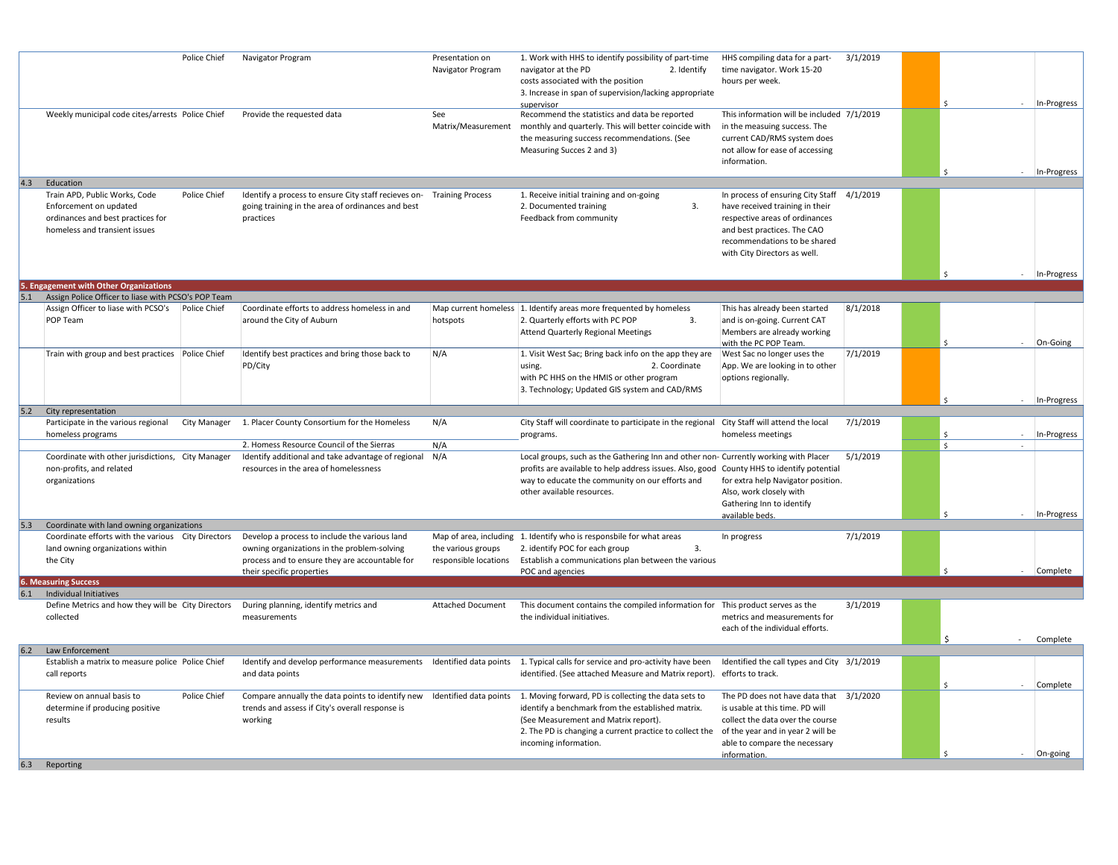|     | Police Chief                                                                                                                                  | Navigator Program                                                                                                                                                           | Presentation on<br>Navigator Program        | 1. Work with HHS to identify possibility of part-time<br>navigator at the PD<br>2. Identify<br>costs associated with the position<br>3. Increase in span of supervision/lacking appropriate<br>supervisor                                                                                                                                       | HHS compiling data for a part-<br>time navigator. Work 15-20<br>hours per week.                                                                                                                                | 3/1/2019 |               | In-Progress |
|-----|-----------------------------------------------------------------------------------------------------------------------------------------------|-----------------------------------------------------------------------------------------------------------------------------------------------------------------------------|---------------------------------------------|-------------------------------------------------------------------------------------------------------------------------------------------------------------------------------------------------------------------------------------------------------------------------------------------------------------------------------------------------|----------------------------------------------------------------------------------------------------------------------------------------------------------------------------------------------------------------|----------|---------------|-------------|
|     | Weekly municipal code cites/arrests Police Chief                                                                                              | Provide the requested data                                                                                                                                                  | See<br>Matrix/Measurement                   | Recommend the statistics and data be reported<br>monthly and quarterly. This will better coincide with<br>the measuring success recommendations. (See<br>Measuring Succes 2 and 3)                                                                                                                                                              | This information will be included 7/1/2019<br>in the measuing success. The<br>current CAD/RMS system does<br>not allow for ease of accessing<br>information.                                                   |          |               | In-Progress |
| 4.3 | Education                                                                                                                                     |                                                                                                                                                                             |                                             |                                                                                                                                                                                                                                                                                                                                                 |                                                                                                                                                                                                                |          |               |             |
|     | Train APD, Public Works, Code<br>Police Chief<br>Enforcement on updated<br>ordinances and best practices for<br>homeless and transient issues | Identify a process to ensure City staff recieves on- Training Process<br>going training in the area of ordinances and best<br>practices                                     |                                             | 1. Receive initial training and on-going<br>2. Documented training<br>3.<br>Feedback from community                                                                                                                                                                                                                                             | In process of ensuring City Staff 4/1/2019<br>have received training in their<br>respective areas of ordinances<br>and best practices. The CAO<br>recommendations to be shared<br>with City Directors as well. |          |               |             |
|     | 5. Engagement with Other Organizations                                                                                                        |                                                                                                                                                                             |                                             |                                                                                                                                                                                                                                                                                                                                                 |                                                                                                                                                                                                                |          |               | In-Progress |
|     | Assign Police Officer to liase with PCSO's POP Team                                                                                           |                                                                                                                                                                             |                                             |                                                                                                                                                                                                                                                                                                                                                 |                                                                                                                                                                                                                |          |               |             |
|     | Assign Officer to liase with PCSO's Police Chief<br>POP Team                                                                                  | Coordinate efforts to address homeless in and<br>around the City of Auburn                                                                                                  | hotspots                                    | Map current homeless 1. Identify areas more frequented by homeless<br>2. Quarterly efforts with PC POP<br>3.<br><b>Attend Quarterly Regional Meetings</b>                                                                                                                                                                                       | This has already been started<br>and is on-going. Current CAT<br>Members are already working<br>with the PC POP Team.                                                                                          | 8/1/2018 |               | On-Going    |
|     | Train with group and best practices Police Chief                                                                                              | Identify best practices and bring those back to<br>PD/City                                                                                                                  | N/A                                         | 1. Visit West Sac; Bring back info on the app they are<br>2. Coordinate<br>using.<br>with PC HHS on the HMIS or other program<br>3. Technology; Updated GIS system and CAD/RMS                                                                                                                                                                  | West Sac no longer uses the<br>App. We are looking in to other<br>options regionally.                                                                                                                          | 7/1/2019 | -S            | In-Progress |
| 5.2 | City representation                                                                                                                           |                                                                                                                                                                             |                                             |                                                                                                                                                                                                                                                                                                                                                 |                                                                                                                                                                                                                |          |               |             |
|     | Participate in the various regional<br>homeless programs                                                                                      | City Manager 1. Placer County Consortium for the Homeless<br>2. Homess Resource Council of the Sierras                                                                      | N/A<br>N/A                                  | City Staff will coordinate to participate in the regional City Staff will attend the local<br>programs.                                                                                                                                                                                                                                         | homeless meetings                                                                                                                                                                                              | 7/1/2019 | $\mathsf{S}$  | In-Progress |
|     | Coordinate with other jurisdictions, City Manager<br>non-profits, and related<br>organizations                                                | Identify additional and take advantage of regional<br>resources in the area of homelessness                                                                                 | N/A                                         | Local groups, such as the Gathering Inn and other non- Currently working with Placer<br>profits are available to help address issues. Also, good County HHS to identify potential<br>way to educate the community on our efforts and<br>other available resources.                                                                              | for extra help Navigator position.<br>Also, work closely with<br>Gathering Inn to identify<br>available beds.                                                                                                  | 5/1/2019 |               | In-Progress |
|     | Coordinate with land owning organizations                                                                                                     |                                                                                                                                                                             |                                             |                                                                                                                                                                                                                                                                                                                                                 |                                                                                                                                                                                                                |          |               |             |
|     | Coordinate efforts with the various City Directors<br>land owning organizations within<br>the City                                            | Develop a process to include the various land<br>owning organizations in the problem-solving<br>process and to ensure they are accountable for<br>their specific properties | the various groups<br>responsible locations | Map of area, including 1. Identify who is responsbile for what areas<br>2. identify POC for each group<br>3.<br>Establish a communications plan between the various<br>POC and agencies                                                                                                                                                         | In progress                                                                                                                                                                                                    | 7/1/2019 |               | Complete    |
|     | <b>6. Measuring Success</b>                                                                                                                   |                                                                                                                                                                             |                                             |                                                                                                                                                                                                                                                                                                                                                 |                                                                                                                                                                                                                |          |               |             |
| 6.1 | Individual Initiatives<br>Define Metrics and how they will be City Directors<br>collected                                                     | During planning, identify metrics and<br>measurements                                                                                                                       | <b>Attached Document</b>                    | This document contains the compiled information for This product serves as the<br>the individual initiatives.                                                                                                                                                                                                                                   | metrics and measurements for<br>each of the individual efforts.                                                                                                                                                | 3/1/2019 | <sup>\$</sup> | Complete    |
|     | Law Enforcement                                                                                                                               |                                                                                                                                                                             |                                             |                                                                                                                                                                                                                                                                                                                                                 |                                                                                                                                                                                                                |          |               |             |
|     | Establish a matrix to measure police Police Chief<br>call reports                                                                             | and data points                                                                                                                                                             |                                             | Identify and develop performance measurements Identified data points 1. Typical calls for service and pro-activity have been<br>identified. (See attached Measure and Matrix report).                                                                                                                                                           | Identified the call types and City 3/1/2019<br>efforts to track.                                                                                                                                               |          |               | Complete    |
|     | Review on annual basis to<br>Police Chief<br>determine if producing positive<br>results                                                       | trends and assess if City's overall response is<br>working                                                                                                                  |                                             | Compare annually the data points to identify new Identified data points 1. Moving forward, PD is collecting the data sets to<br>identify a benchmark from the established matrix.<br>(See Measurement and Matrix report).<br>2. The PD is changing a current practice to collect the of the year and in year 2 will be<br>incoming information. | The PD does not have data that 3/1/2020<br>is usable at this time. PD will<br>collect the data over the course<br>able to compare the necessary                                                                |          |               |             |
|     |                                                                                                                                               |                                                                                                                                                                             |                                             |                                                                                                                                                                                                                                                                                                                                                 | information.                                                                                                                                                                                                   |          |               | On-going    |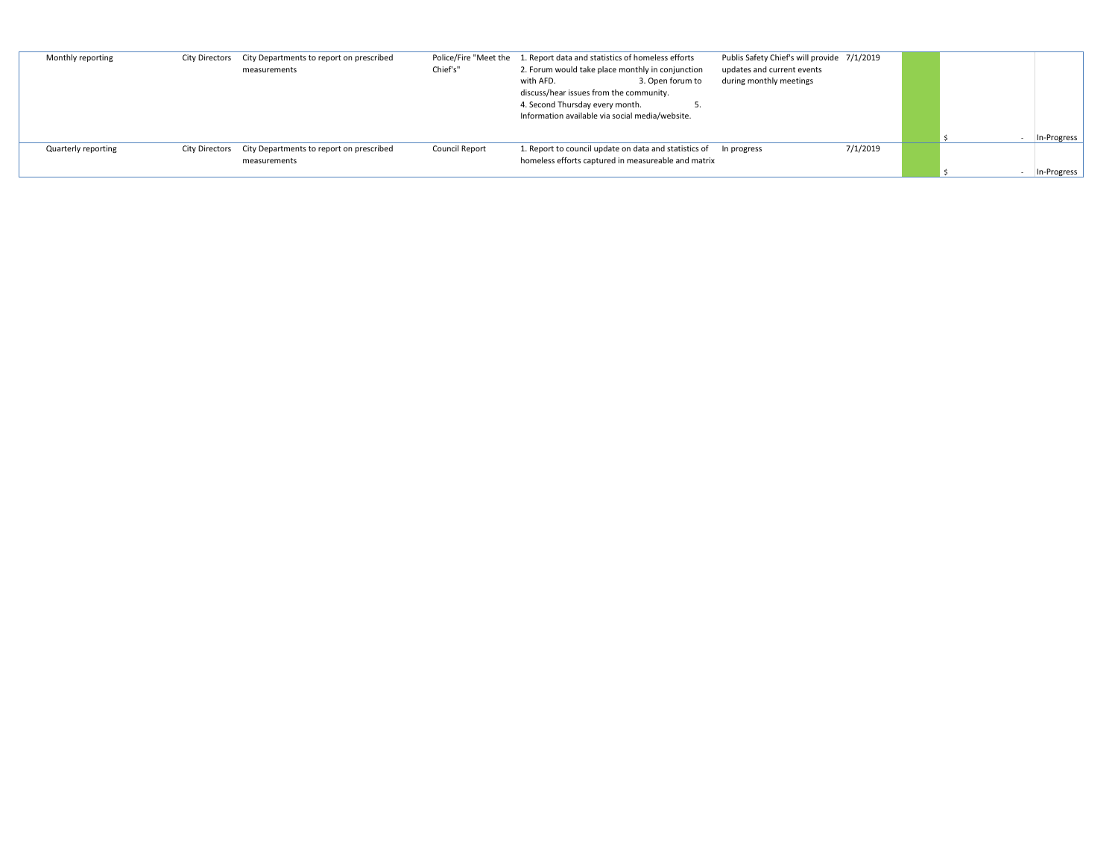| Monthly reporting   | City Directors City Departments to report on prescribed<br>measurements | Chief's"              | Police/Fire "Meet the 1. Report data and statistics of homeless efforts<br>2. Forum would take place monthly in conjunction<br>3. Open forum to<br>with AFD. | Publis Safety Chief's will provide 7/1/2019<br>updates and current events<br>during monthly meetings |          |  |             |
|---------------------|-------------------------------------------------------------------------|-----------------------|--------------------------------------------------------------------------------------------------------------------------------------------------------------|------------------------------------------------------------------------------------------------------|----------|--|-------------|
|                     |                                                                         |                       | discuss/hear issues from the community.<br>4. Second Thursday every month.<br>Information available via social media/website.                                |                                                                                                      |          |  |             |
|                     |                                                                         |                       |                                                                                                                                                              |                                                                                                      |          |  | In-Progress |
| Quarterly reporting | City Directors City Departments to report on prescribed                 | <b>Council Report</b> | 1. Report to council update on data and statistics of In progress                                                                                            |                                                                                                      | 7/1/2019 |  |             |
|                     | measurements                                                            |                       | homeless efforts captured in measureable and matrix                                                                                                          |                                                                                                      |          |  |             |
|                     |                                                                         |                       |                                                                                                                                                              |                                                                                                      |          |  | In-Progress |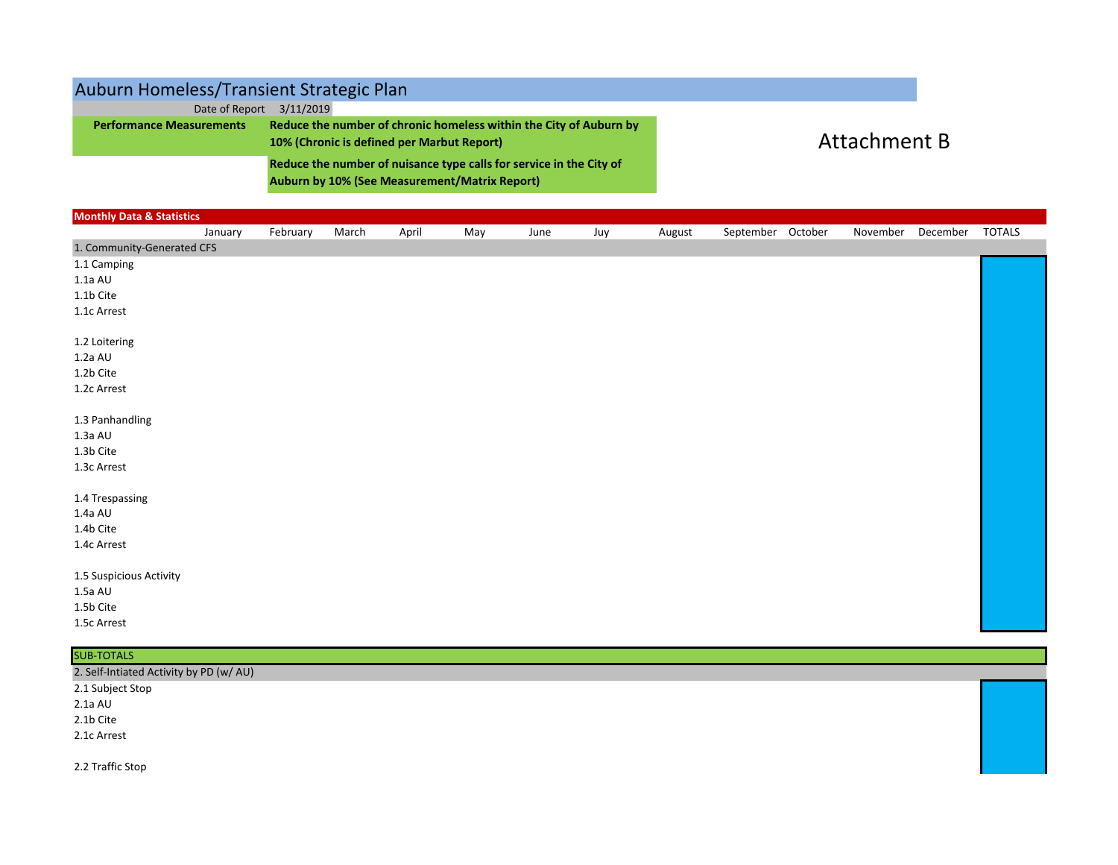## Auburn Homeless/Transient Strategic Plan

| Date of Report                  | 3/11/2019                                                           |                     |
|---------------------------------|---------------------------------------------------------------------|---------------------|
| <b>Performance Measurements</b> | Reduce the number of chronic homeless within the City of Auburn by  |                     |
|                                 | 10% (Chronic is defined per Marbut Report)                          | <b>Attachment B</b> |
|                                 | Reduce the number of nuisance type calls for service in the City of |                     |
|                                 | <b>Auburn by 10% (See Measurement/Matrix Report)</b>                |                     |

| <b>Monthly Data &amp; Statistics</b> |         |          |       |       |     |      |     |        |                   |          |          |               |
|--------------------------------------|---------|----------|-------|-------|-----|------|-----|--------|-------------------|----------|----------|---------------|
|                                      | January | February | March | April | May | June | Juy | August | September October | November | December | <b>TOTALS</b> |
| 1. Community-Generated CFS           |         |          |       |       |     |      |     |        |                   |          |          |               |
| 1.1 Camping                          |         |          |       |       |     |      |     |        |                   |          |          |               |
| $1.1a$ AU                            |         |          |       |       |     |      |     |        |                   |          |          |               |
| 1.1b Cite                            |         |          |       |       |     |      |     |        |                   |          |          |               |
| 1.1c Arrest                          |         |          |       |       |     |      |     |        |                   |          |          |               |
|                                      |         |          |       |       |     |      |     |        |                   |          |          |               |
| 1.2 Loitering                        |         |          |       |       |     |      |     |        |                   |          |          |               |
| 1.2a AU                              |         |          |       |       |     |      |     |        |                   |          |          |               |
| 1.2b Cite                            |         |          |       |       |     |      |     |        |                   |          |          |               |
| 1.2c Arrest                          |         |          |       |       |     |      |     |        |                   |          |          |               |
|                                      |         |          |       |       |     |      |     |        |                   |          |          |               |
| 1.3 Panhandling                      |         |          |       |       |     |      |     |        |                   |          |          |               |
| $1.3a$ AU                            |         |          |       |       |     |      |     |        |                   |          |          |               |
| 1.3b Cite                            |         |          |       |       |     |      |     |        |                   |          |          |               |
| 1.3c Arrest                          |         |          |       |       |     |      |     |        |                   |          |          |               |
| 1.4 Trespassing                      |         |          |       |       |     |      |     |        |                   |          |          |               |
| 1.4a AU                              |         |          |       |       |     |      |     |        |                   |          |          |               |
| 1.4b Cite                            |         |          |       |       |     |      |     |        |                   |          |          |               |
| 1.4c Arrest                          |         |          |       |       |     |      |     |        |                   |          |          |               |
|                                      |         |          |       |       |     |      |     |        |                   |          |          |               |
| 1.5 Suspicious Activity              |         |          |       |       |     |      |     |        |                   |          |          |               |
| $1.5a$ AU                            |         |          |       |       |     |      |     |        |                   |          |          |               |
| 1.5b Cite                            |         |          |       |       |     |      |     |        |                   |          |          |               |
| 1.5c Arrest                          |         |          |       |       |     |      |     |        |                   |          |          |               |

| <b>SUB-TOTALS</b>                       |  |
|-----------------------------------------|--|
| 2. Self-Intiated Activity by PD (w/ AU) |  |
| 2.1 Subject Stop                        |  |
| $2.1a$ AU                               |  |
| 2.1b Cite                               |  |
| 2.1c Arrest                             |  |
|                                         |  |
| 2.2 Traffic Stop                        |  |